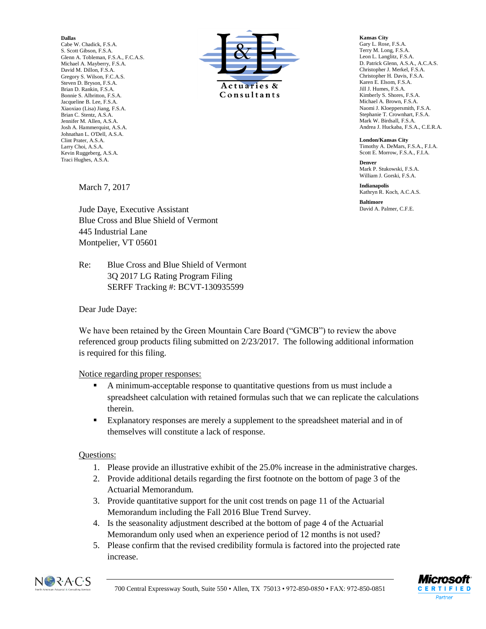**Dallas**

Cabe W. Chadick, F.S.A. S. Scott Gibson, F.S.A. Glenn A. Tobleman, F.S.A., F.C.A.S. Michael A. Mayberry, F.S.A. David M. Dillon, F.S.A. Gregory S. Wilson, F.C.A.S. Steven D. Bryson, F.S.A. Brian D. Rankin, F.S.A. Bonnie S. Albritton, F.S.A. Jacqueline B. Lee, F.S.A. Xiaoxiao (Lisa) Jiang, F.S.A. Brian C. Stentz, A.S.A. Jennifer M. Allen, A.S.A. Josh A. Hammerquist, A.S.A. Johnathan L. O'Dell, A.S.A. Clint Prater, A.S.A. Larry Choi, A.S.A. Kevin Ruggeberg, A.S.A. Traci Hughes, A.S.A.



**Kansas City** Gary L. Rose, F.S.A. Terry M. Long, F.S.A. Leon L. Langlitz, F.S.A. D. Patrick Glenn, A.S.A., A.C.A.S. Christopher J. Merkel, F.S.A. Christopher H. Davis, F.S.A. Karen E. Elsom, F.S.A. Jill J. Humes, F.S.A. Kimberly S. Shores, F.S.A. Michael A. Brown, F.S.A. Naomi J. Kloeppersmith, F.S.A. Stephanie T. Crownhart, F.S.A. Mark W. Birdsall, F.S.A. Andrea J. Huckaba, F.S.A., C.E.R.A.

**London/Kansas City** Timothy A. DeMars, F.S.A., F.I.A. Scott E. Morrow, F.S.A., F.I.A.

**Denver** Mark P. Stukowski, F.S. A. William J. Gorski, F.S.A.

**Indianapolis** Kathryn R. Koch, A.C.A.S.

**Baltimore** David A. Palmer, C.F.E.

March 7, 2017

Jude Daye, Executive Assistant Blue Cross and Blue Shield of Vermont 445 Industrial Lane Montpelier, VT 05601

Re: Blue Cross and Blue Shield of Vermont 3Q 2017 LG Rating Program Filing SERFF Tracking #: BCVT-130935599

Dear Jude Daye:

We have been retained by the Green Mountain Care Board ("GMCB") to review the above referenced group products filing submitted on 2/23/2017. The following additional information is required for this filing.

## Notice regarding proper responses:

- A minimum-acceptable response to quantitative questions from us must include a spreadsheet calculation with retained formulas such that we can replicate the calculations therein.
- Explanatory responses are merely a supplement to the spreadsheet material and in of themselves will constitute a lack of response.

## Questions:

- 1. Please provide an illustrative exhibit of the 25.0% increase in the administrative charges.
- 2. Provide additional details regarding the first footnote on the bottom of page 3 of the Actuarial Memorandum.
- 3. Provide quantitative support for the unit cost trends on page 11 of the Actuarial Memorandum including the Fall 2016 Blue Trend Survey.
- 4. Is the seasonality adjustment described at the bottom of page 4 of the Actuarial Memorandum only used when an experience period of 12 months is not used?
- 5. Please confirm that the revised credibility formula is factored into the projected rate increase.